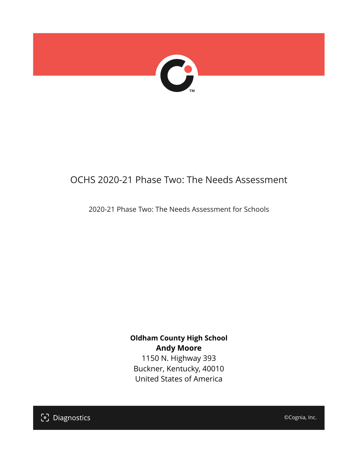

# OCHS 2020-21 Phase Two: The Needs Assessment

2020-21 Phase Two: The Needs Assessment for Schools

**Oldham County High School Andy Moore**

1150 N. Highway 393 Buckner, Kentucky, 40010 United States of America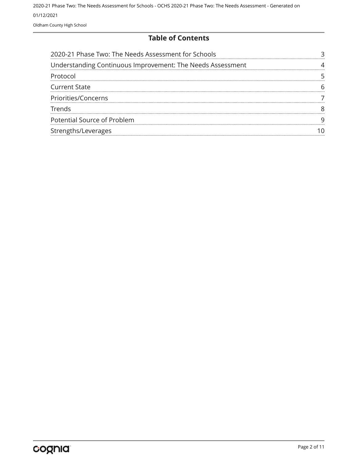#### **Table of Contents**

| 2020-21 Phase Two: The Needs Assessment for Schools        |  |
|------------------------------------------------------------|--|
| Understanding Continuous Improvement: The Needs Assessment |  |
| Protocol                                                   |  |
| <b>Current State</b>                                       |  |
| Priorities/Concerns                                        |  |
| Trends                                                     |  |
| Potential Source of Problem                                |  |
| Strengths/Leverages                                        |  |
|                                                            |  |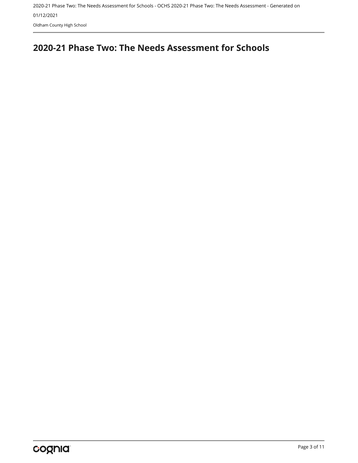## <span id="page-2-0"></span>**2020-21 Phase Two: The Needs Assessment for Schools**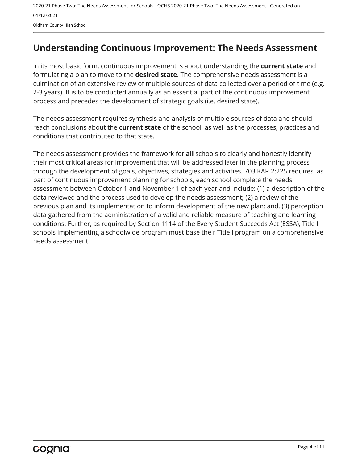## <span id="page-3-0"></span>**Understanding Continuous Improvement: The Needs Assessment**

In its most basic form, continuous improvement is about understanding the **current state** and formulating a plan to move to the **desired state**. The comprehensive needs assessment is a culmination of an extensive review of multiple sources of data collected over a period of time (e.g. 2-3 years). It is to be conducted annually as an essential part of the continuous improvement process and precedes the development of strategic goals (i.e. desired state).

The needs assessment requires synthesis and analysis of multiple sources of data and should reach conclusions about the **current state** of the school, as well as the processes, practices and conditions that contributed to that state.

The needs assessment provides the framework for **all** schools to clearly and honestly identify their most critical areas for improvement that will be addressed later in the planning process through the development of goals, objectives, strategies and activities. 703 KAR 2:225 requires, as part of continuous improvement planning for schools, each school complete the needs assessment between October 1 and November 1 of each year and include: (1) a description of the data reviewed and the process used to develop the needs assessment; (2) a review of the previous plan and its implementation to inform development of the new plan; and, (3) perception data gathered from the administration of a valid and reliable measure of teaching and learning conditions. Further, as required by Section 1114 of the Every Student Succeeds Act (ESSA), Title I schools implementing a schoolwide program must base their Title I program on a comprehensive needs assessment.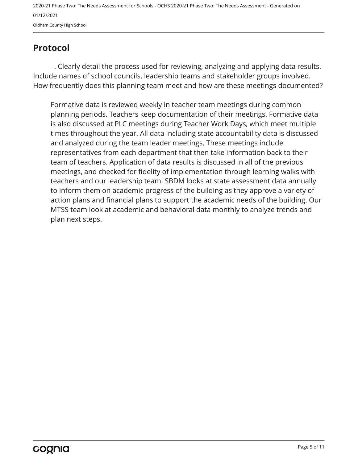## <span id="page-4-0"></span>**Protocol**

. Clearly detail the process used for reviewing, analyzing and applying data results. Include names of school councils, leadership teams and stakeholder groups involved. How frequently does this planning team meet and how are these meetings documented?

Formative data is reviewed weekly in teacher team meetings during common planning periods. Teachers keep documentation of their meetings. Formative data is also discussed at PLC meetings during Teacher Work Days, which meet multiple times throughout the year. All data including state accountability data is discussed and analyzed during the team leader meetings. These meetings include representatives from each department that then take information back to their team of teachers. Application of data results is discussed in all of the previous meetings, and checked for fidelity of implementation through learning walks with teachers and our leadership team. SBDM looks at state assessment data annually to inform them on academic progress of the building as they approve a variety of action plans and financial plans to support the academic needs of the building. Our MTSS team look at academic and behavioral data monthly to analyze trends and plan next steps.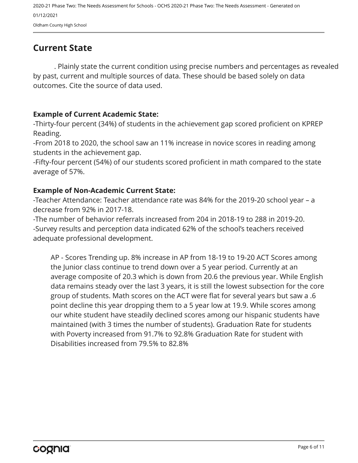## <span id="page-5-0"></span>**Current State**

. Plainly state the current condition using precise numbers and percentages as revealed by past, current and multiple sources of data. These should be based solely on data outcomes. Cite the source of data used.

#### **Example of Current Academic State:**

-Thirty-four percent (34%) of students in the achievement gap scored proficient on KPREP Reading.

-From 2018 to 2020, the school saw an 11% increase in novice scores in reading among students in the achievement gap.

-Fifty-four percent (54%) of our students scored proficient in math compared to the state average of 57%.

#### **Example of Non-Academic Current State:**

-Teacher Attendance: Teacher attendance rate was 84% for the 2019-20 school year – a decrease from 92% in 2017-18.

-The number of behavior referrals increased from 204 in 2018-19 to 288 in 2019-20. -Survey results and perception data indicated 62% of the school's teachers received adequate professional development.

AP - Scores Trending up. 8% increase in AP from 18-19 to 19-20 ACT Scores among the Junior class continue to trend down over a 5 year period. Currently at an average composite of 20.3 which is down from 20.6 the previous year. While English data remains steady over the last 3 years, it is still the lowest subsection for the core group of students. Math scores on the ACT were flat for several years but saw a .6 point decline this year dropping them to a 5 year low at 19.9. While scores among our white student have steadily declined scores among our hispanic students have maintained (with 3 times the number of students). Graduation Rate for students with Poverty increased from 91.7% to 92.8% Graduation Rate for student with Disabilities increased from 79.5% to 82.8%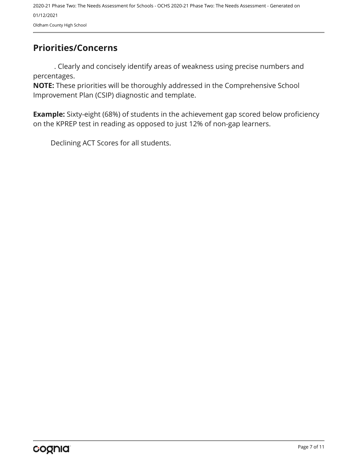## <span id="page-6-0"></span>**Priorities/Concerns**

. Clearly and concisely identify areas of weakness using precise numbers and percentages.

**NOTE:** These priorities will be thoroughly addressed in the Comprehensive School Improvement Plan (CSIP) diagnostic and template.

**Example:** Sixty-eight (68%) of students in the achievement gap scored below proficiency on the KPREP test in reading as opposed to just 12% of non-gap learners.

Declining ACT Scores for all students.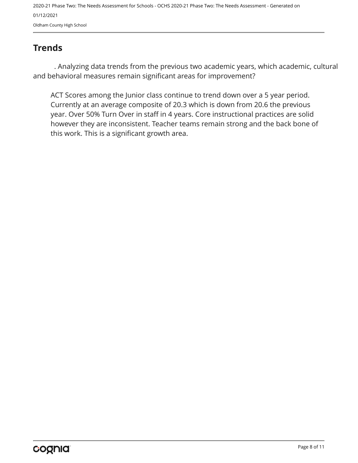## <span id="page-7-0"></span>**Trends**

. Analyzing data trends from the previous two academic years, which academic, cultural and behavioral measures remain significant areas for improvement?

ACT Scores among the Junior class continue to trend down over a 5 year period. Currently at an average composite of 20.3 which is down from 20.6 the previous year. Over 50% Turn Over in staff in 4 years. Core instructional practices are solid however they are inconsistent. Teacher teams remain strong and the back bone of this work. This is a significant growth area.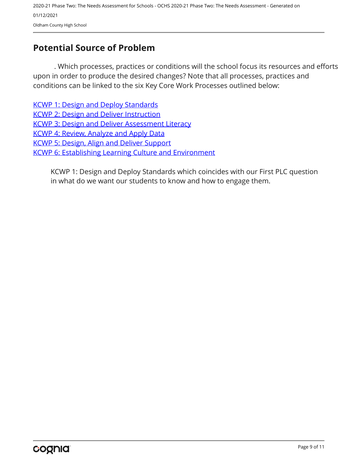## <span id="page-8-0"></span>**Potential Source of Problem**

. Which processes, practices or conditions will the school focus its resources and efforts upon in order to produce the desired changes? Note that all processes, practices and conditions can be linked to the six Key Core Work Processes outlined below:

[KCWP 1: Design and Deploy Standards](https://education.ky.gov/school/csip/Documents/KCWP 1 Strategic Design and Deploy Standards.pdf) [KCWP 2: Design and Deliver Instruction](https://education.ky.gov/school/csip/Documents/KCWP%202%20Strategic%20Design%20and%20Deliver%20Instruction.pdf) [KCWP 3: Design and Deliver Assessment Literacy](https://education.ky.gov/school/csip/Documents/KCWP%203%20Strategic%20Design%20and%20Deliver%20Assessment%20Literacy.pdf) [KCWP 4: Review, Analyze and Apply Data](https://education.ky.gov/school/csip/Documents/KCWP 4 Strategic Review Analyze and Apply Data.pdf) [KCWP 5: Design, Align and Deliver Support](https://education.ky.gov/school/csip/Documents/KCWP 5 Strategic Design Align Deliver Support Processes.pdf) [KCWP 6: Establishing Learning Culture and Environment](https://education.ky.gov/school/csip/Documents/KCWP 6 Strategic Establish Learning Culture and Environment.pdf)

KCWP 1: Design and Deploy Standards which coincides with our First PLC question in what do we want our students to know and how to engage them.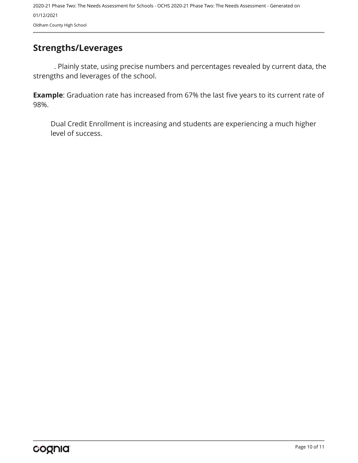## <span id="page-9-0"></span>**Strengths/Leverages**

. Plainly state, using precise numbers and percentages revealed by current data, the strengths and leverages of the school.

**Example**: Graduation rate has increased from 67% the last five years to its current rate of 98%.

Dual Credit Enrollment is increasing and students are experiencing a much higher level of success.